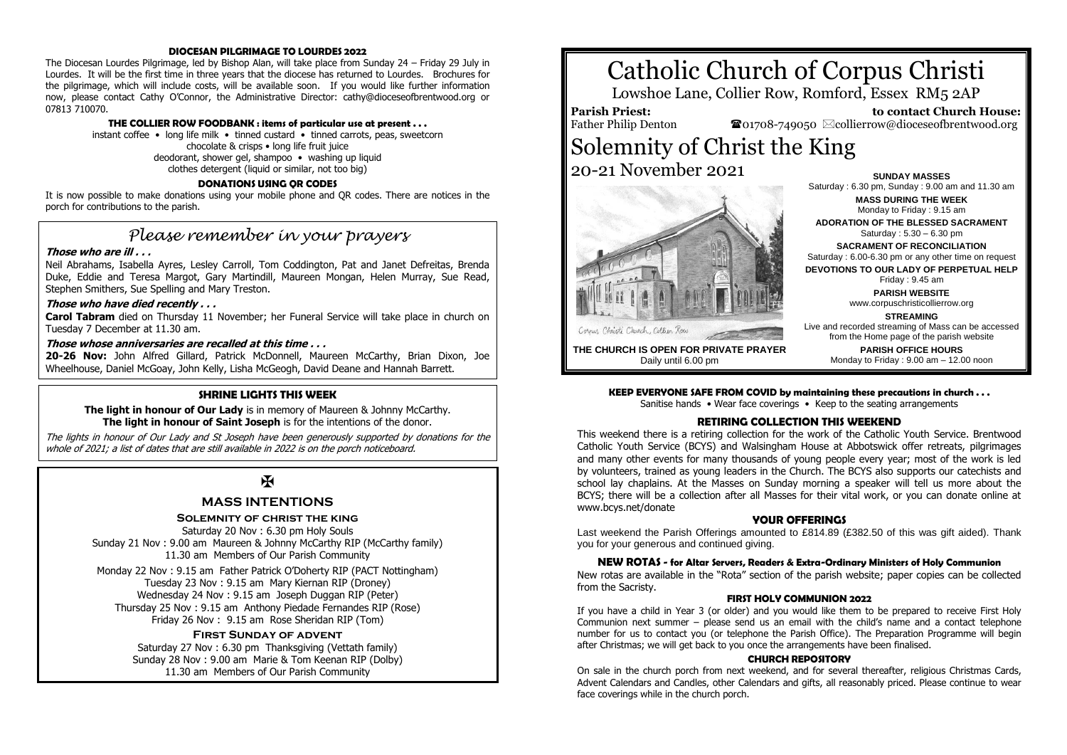#### **DIOCESAN PILGRIMAGE TO LOURDES 2022**

The Diocesan Lourdes Pilgrimage, led by Bishop Alan, will take place from Sunday 24 – Friday 29 July in Lourdes. It will be the first time in three years that the diocese has returned to Lourdes. Brochures for the pilgrimage, which will include costs, will be available soon. If you would like further information now, please contact Cathy O'Connor, the Administrative Director: cathy@dioceseofbrentwood.org or 07813 710070.

#### **THE COLLIER ROW FOODBANK : items of particular use at present . . .**

instant coffee • long life milk • tinned custard • tinned carrots, peas, sweetcorn chocolate & crisps • long life fruit juice deodorant, shower gel, shampoo • washing up liquid clothes detergent (liquid or similar, not too big)

#### **DONATIONS USING QR CODES**

It is now possible to make donations using your mobile phone and QR codes. There are notices in the porch for contributions to the parish.

## *Please remember in your prayers*

#### **Those who are ill . . .**

Neil Abrahams, Isabella Ayres, Lesley Carroll, Tom Coddington, Pat and Janet Defreitas, Brenda Duke, Eddie and Teresa Margot, Gary Martindill, Maureen Mongan, Helen Murray, Sue Read, Stephen Smithers, Sue Spelling and Mary Treston.

#### **Those who have died recently . . .**

**Carol Tabram** died on Thursday 11 November; her Funeral Service will take place in church on Tuesday 7 December at 11.30 am.

#### **Those whose anniversaries are recalled at this time . . .**

**20-26 Nov:** John Alfred Gillard, Patrick McDonnell, Maureen McCarthy, Brian Dixon, Joe Wheelhouse, Daniel McGoay, John Kelly, Lisha McGeogh, David Deane and Hannah Barrett.

#### **SHRINE LIGHTS THIS WEEK**

**The light in honour of Our Lady** is in memory of Maureen & Johnny McCarthy. **The light in honour of Saint Joseph** is for the intentions of the donor.

The lights in honour of Our Lady and St Joseph have been generously supported by donations for the whole of 2021; a list of dates that are still available in 2022 is on the porch noticeboard.

### $\mathbf K$

#### **MASS INTENTIONS**

#### **Solemnity of christ the king**

Saturday 20 Nov : 6.30 pm Holy Souls Sunday 21 Nov : 9.00 am Maureen & Johnny McCarthy RIP (McCarthy family) 11.30 am Members of Our Parish Community

Monday 22 Nov : 9.15 am Father Patrick O'Doherty RIP (PACT Nottingham) Tuesday 23 Nov : 9.15 am Mary Kiernan RIP (Droney) Wednesday 24 Nov : 9.15 am Joseph Duggan RIP (Peter) Thursday 25 Nov : 9.15 am Anthony Piedade Fernandes RIP (Rose) Friday 26 Nov : 9.15 am Rose Sheridan RIP (Tom)

#### **First Sunday of advent**

Saturday 27 Nov: 6.30 pm Thanksgiving (Vettath family) Sunday 28 Nov : 9.00 am Marie & Tom Keenan RIP (Dolby) 11.30 am Members of Our Parish Community

# Catholic Church of Corpus Christi

Lowshoe Lane, Collier Row, Romford, Essex RM5 2AP

**Parish Priest:** Father Philip Denton

 **to contact Church House:**  $\mathbf{\Omega}$ 01708-749050  $\boxtimes$ collierrow@dioceseofbrentwood.org

# Solemnity of Christ the King 20-21 November 2021



**SUNDAY MASSES** Saturday : 6.30 pm, Sunday : 9.00 am and 11.30 am **MASS DURING THE WEEK** Monday to Friday : 9.15 am **ADORATION OF THE BLESSED SACRAMENT** Saturday : 5.30 – 6.30 pm **SACRAMENT OF RECONCILIATION** Saturday : 6.00-6.30 pm or any other time on request **DEVOTIONS TO OUR LADY OF PERPETUAL HELP** Friday : 9.45 am **PARISH WEBSITE** www.corpuschristicollierrow.org **STREAMING** Live and recorded streaming of Mass can be accessed

**THE CHURCH IS OPEN FOR PRIVATE PRAYER** Daily until 6.00 pm

#### **KEEP EVERYONE SAFE FROM COVID by maintaining these precautions in church . . .**

Sanitise hands • Wear face coverings • Keep to the seating arrangements

#### **RETIRING COLLECTION THIS WEEKEND**

This weekend there is a retiring collection for the work of the Catholic Youth Service. Brentwood Catholic Youth Service (BCYS) and Walsingham House at Abbotswick offer retreats, pilgrimages and many other events for many thousands of young people every year; most of the work is led by volunteers, trained as young leaders in the Church. The BCYS also supports our catechists and school lay chaplains. At the Masses on Sunday morning a speaker will tell us more about the BCYS; there will be a collection after all Masses for their vital work, or you can donate online at www.bcys.net/donate

#### **YOUR OFFERINGS**

Last weekend the Parish Offerings amounted to £814.89 (£382.50 of this was gift aided). Thank you for your generous and continued giving.

#### **NEW ROTAS - for Altar Servers, Readers & Extra-Ordinary Ministers of Holy Communion**

New rotas are available in the "Rota" section of the parish website; paper copies can be collected from the Sacristy.

#### **FIRST HOLY COMMUNION 2022**

If you have a child in Year 3 (or older) and you would like them to be prepared to receive First Holy Communion next summer – please send us an email with the child's name and a contact telephone number for us to contact you (or telephone the Parish Office). The Preparation Programme will begin after Christmas; we will get back to you once the arrangements have been finalised.

#### **CHURCH REPOSITORY**

On sale in the church porch from next weekend, and for several thereafter, religious Christmas Cards, Advent Calendars and Candles, other Calendars and gifts, all reasonably priced. Please continue to wear face coverings while in the church porch.

from the Home page of the parish website **PARISH OFFICE HOURS**

Monday to Friday : 9.00 am – 12.00 noon